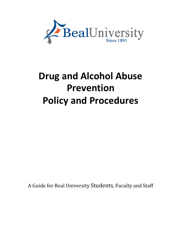

# **Drug and Alcohol Abuse Prevention Policy and Procedures**

A Guide for Beal University Students, Faculty and Staff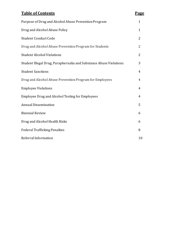# **Table** of Contents Purpose of Drug and Alcohol Abuse Prevention Program 1

| æ<br>ъ |
|--------|
|        |

| Purpose of Drug and Alcohol Abuse Prevention Program               | $\perp$        |
|--------------------------------------------------------------------|----------------|
| Drug and Alcohol Abuse Policy                                      | $\mathbf{1}$   |
| Student Conduct Code                                               | 2              |
| Drug and Alcohol Abuse Prevention Program for Students             | 2              |
| <b>Student Alcohol Violations</b>                                  | 2              |
| Student Illegal Drug, Paraphernalia and Substance Abuse Violations | 3              |
| <b>Student Sanctions</b>                                           | 4              |
| Drug and Alcohol Abuse Prevention Program for Employees            | 4              |
| <b>Employee Violations</b>                                         | $\overline{4}$ |
| <b>Employee Drug and Alcohol Testing for Employees</b>             | $\overline{4}$ |
| <b>Annual Dissemination</b>                                        | 5              |
| <b>Biennial Review</b>                                             | 6              |
| Drug and Alcohol Health Risks                                      | 6              |
| <b>Federal Trafficking Penalties</b>                               | 8              |
| Referral Information                                               | 10             |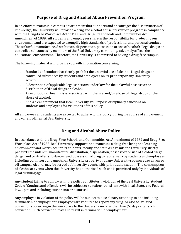#### **Purpose of Drug and Alcohol Abuse Prevention Program**

In an effortto maintain a campus environmentthat supports and encourages the disseminationof knowledge, the University will provide a drug and alcohol abuse prevention program in compliance with the Drug-Free Workplace Act of 1988 and Drug-Free Schools and Communities Act Amendment of 1989. All students and employees share in the responsibility for protecting our environment and are expected to exemplify high standards of professional and personal conduct. The unlawful manufacture, distribution, dispensation, possession or use of alcohol; illegal drugs; or controlledsubstances by members of the Beal University community adversely affects the educational environment. Therefore, the University is committed to having a drug-free campus.

The following material will provide you with information concerning:

- Standards of conduct that clearly prohibit the unlawful use of alcohol, illegal drugs or  $\bar{\Gamma}$ controlledsubstances by students and employees on its propertyor any University activity.
- A description of applicable legal sanctions under law for the unlawful possessionor  $\bar{\rm T}$ distribution of illegal drugs or alcohol.
- A description of health risks associatedwith the use and/or abuse of illegal drugs or the  $\mathbf{r}^{\mathrm{c}}$ abuse of alcohol.
- And a clear statement that Beal University will impose disciplinary sanctions on  $\bar{\Gamma}$ students and employees for violations of this policy.

All employees and students are expected to adhere to this policy during the course of employment and/or enrollment at Beal University.

#### **Drug and Alcohol Abuse Policy**

In accordance with the Drug-Free Schools and Communities Act Amendment of 1989 and Drug-Free Workplace Act of 1988, Beal University supports and maintains a drug-free living and learning environment and workplace for its students, faculty and staff. As a result, the University strictly prohibits the unlawful manufacture, distribution, dispensation, possessionor use of alcohol; illegal drugs; and controlled substances, and possession of drug paraphernalia by students and employees, including volunteers and guests, on University property or at any University-sponsored event on or off campus. Alcohol may be servedat University events with prior authorization. The consumption of alcohol at events when the University has authorized such use is permitted only by individuals of legal drinking age.

Any student failing to comply with the policy constitutes a violation of the Beal University Student Code of Conduct and offenders will be subject to sanctions, consistent with local, State, and Federal law, up to and including suspensionor dismissal.

Any employee in violation of the policy will be subject to disciplinary action up to and including termination of employment. Employees are required to report any drug- or alcohol-related convictions occurring in the workplace to the University no later than five (5) days after such conviction. Such conviction may also resultin termination of employment.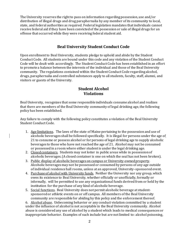The University reserves the right to pass on information regarding possession, use and/or distribution of illegal drugs and drug paraphernalia by any member of its community to local, state, and federal authorities as required. Federal legislation mandates that individuals cannot receive federal aid if they have been convictedof the possession or sale of illegal drugs for an offense that occurred while they were receiving federal student aid.

#### **Beal University Student Conduct Code**

Upon enrollmentto Beal University, students pledge to uphold and abide by the Student Conduct Code. All students are bound under this code and any violation of the Student Conduct Code will be dealt with accordingly. The Student Conduct Code has been established in an effort to promote a balance between the interests of the individual and those of the Beal University community. The regulations contained within the Student Conduct Code regarding alcohol, drugs, paraphernalia and controlled substances apply to all students, faculty, staff, alumni, and visitors or guests of the University.

#### **Student Alcohol Violations**

Beal University, recognizes that some responsible individuals consume alcohol and realizes that there are members of the Beal University community of legal drinking age, the following policy has been established.

Any failure to comply with the following policy constitutes a violation of the Beal University Student Conduct Code.

- 1. Age limitations. The laws of the state of Maine pertaining to the possession and use of alcoholic beverages shall be followed specifically. It is illegal for persons under the age of 21 to consume or possess alcohol or for persons of legal drinking age to supply alcoholic beverages to those who have not reached the age of 21. Alcohol may not be consumed or possessedin a room where either studentis under the legal drinking age.
- 2. Closed containers. Students may not loiter in public areas while in possession of alcoholic beverages.(A closed container is one on which the seal has not been broken).
- 3. Public display of alcoholic beverages on campus or University-owned property. Alcoholic beverages may not be possessed or consumed by persons of any age outside of individual residence hall rooms, unless at an approved, University–sponsoredevent.
- 4. Purchase of alcohol with University funds. Neither the University nor any group, which owes its existence to Beal University, whether officially or unofficially, formally or informally, will be permitted to use any organizational funds derived from or held by the institution for the purchase of any kind of alcoholic beverage.
- 5. Social functions. Beal University does not permit alcoholic beverage at studentsponsoredor athletic events on or off campus. All members of the Beal University community are responsible for abiding by this policy and the enforcement thereof.

6. Alcohol abuse. Unbecoming behavior or any conduct violation committed by a student under the influence of alcohol is not acceptable in the Beal University community. Alcohol abuse is consideredany use of alcohol by a student which leads to medical consequences or inappropriate behavior. Examples of such include but are not limited to: alcohol poisoning,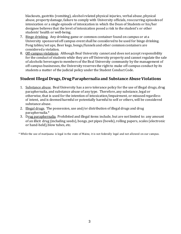blackouts, gastritis (vomiting), alcohol-related physical injuries, verbal abuse, physical abuse, propertydamage, failure to comply with University officials, reoccurring episodesof intoxication or a single episode of intoxication in which the Dean of Students or his/her designee believes that the level of intoxication posed a risk to the student's or other students' health or well-being.

- 7. Binge drinking. Any drinking game or common container found on campus or at a University sponsoredoff campus event shall be consideredto be used for binge drinking. Pong tables/set ups, Beer kegs, bongs/funnels and other commoncontainers are considereda violation.
- 8. Off-campus violations. Although Beal University cannot and does not accept responsibility for the conduct of students while they are off University property and cannot regulate the sale of alcoholic beverages to members of the Beal University community by the management of off-campus businesses, the University reserves the rightto make off-campus conduct by its students a matter of the judicial policy under the Student Conduct Code.

#### **Student Illegal Drugs, Drug Paraphernalia and Substance Abuse Violations**

- 1. Substance abuse. Beal University has a zero tolerance policy for the use of illegal drugs, drug paraphernalia, and substance abuse of any type. Therefore,any substance, legal or otherwise, that is used for the intention of intoxication/impairment, or misusedregardless of intent, and is deemedharmful or potentially harmfulto self or others, will be considered substance abuse.
- 2. Illegal drugs. The possession, use and/or distribution of illegal drugs and drug paraphernalia.\*
- 3. Drug paraphernalia. Prohibited and illegal items include, but are not limited to: any amount of an illicit drug (including seeds), bongs, pot pipes (bowls), rolling papers, scales (electronic or hand-held), blow tubes, etc.

\* While the use of marijuana is legal in the state of Maine, it is not federally legal and not allowed on our campus.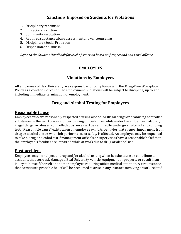#### **Sanctions Imposed on Students for Violations**

- 1. Disciplinary reprimand
- 2. Educational sanction
- 3. Community restitution
- 4. Required substance abuse assessment and/or counseling
- 5. Disciplinary/Social Probation
- 6. Suspensionor dismissal

*Refer to the Student Handbook for level of sanction based on first, second and third offense.*

#### **EMPLOYEES**

#### **Violations by Employees**

All employees of Beal University are responsible for compliance with the Drug-Free Workplace Policy as a condition of continued employment. Violations will be subject to discipline, up to and including immediate termination of employment.

#### **Drug and Alcohol Testing for Employees**

#### **Reasonable Cause**

Employees who are reasonablysuspectedof using alcohol or illegal drugs or of abusing controlled substances in the workplace or of performing official duties while under the influence of alcohol, illegal drugs, or abused controlled substances will be required to undergo an alcohol and/or drug test. "Reasonable cause" exists when an employee exhibits behavior that suggestimpairment from drug or alcohol use or when job performance or safety is affected. An employee may be requested to take a drug or alcohol test if management officials or supervisors have a reasonable belief that the employee's faculties are impaired while at work due to drug or alcohol use.

#### **Post-accident**

Employees may be subject to drug and/or alcohol testing when he/she cause or contribute to accidents that seriously damage a Beal University vehicle, equipment or propertyor resultin an injury to himself/herself or another employee requiringoffsite medical attention. A circumstance that constitutes probable belief will be presumed to arise in any instance involving a work-related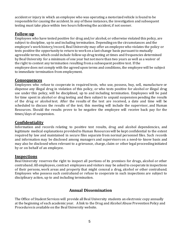accident or injury in which an employee who was operating a motorizedvehicle is found to be responsible for causing the accident. In any of these instances, the investigation and subsequent testing must take place within two hours following the accident, if not sooner.

#### **Follow-up**

Employees who have tested positive for drug and/or alcohol, or otherwise violated this policy, are subject to discipline, up to and including termination. Depending on the circumstances and the employee's work history/record, Beal University may offer an employee who violates the policy or tests positive the opportunity to return to work on a last-change basis pursuant to mutually agreeable terms, which could include follow-up drug testing at times and frequencies determined by Beal University for a minimum of one year but not more than two years as well as a waiver of the right to contest any termination resulting from a subsequent positive test. If the employee does not comply with the agreedupon terms and conditions, the employee will be subject to immediate termination from employment.

#### **Consequences**

Employees who refuse to cooperate in required tests, who use, possess, buy, sell, manufacture or dispense any illegal drug in violation of this policy, or who tests positive for alcohol or illegal drug use under this policy, will be disciplined, up to and including termination. Employees will be paid for time spent in alcohol or drug testing and then subject to unpaid suspension pending the results of the drug or alcohol test. After the results of the test are received, a date and time will be scheduled to discuss the results of the test; this meeting will include the supervisor, and Human Resources. Should the results prove to be negative the employee will receive back pay for the times/days of suspension.

#### **Confidentiality**

Information and records relating to positive test results, drug and alcohol dependencies, and legitimate medical explanations provided to Human Resources will be kept confidential to the extent required by law and maintained in secure files separate from normal personnel files. Such records and information may be disclosed among managers and supervisors on a need-to- know basis and may also be disclosed when relevant to a grievance, charge, claim or other legal proceeding initiated by or on behalf of an employee.

#### **Inspections**

Beal University reserves the right to inspect all portions of its premises for drugs, alcohol or other contraband. All employees, contract employees and visitors may be asked to cooperate in inspections of their persons, work areas and property that might conceal a drug, alcohol or other contraband. Employees who possess such contraband or refuse to cooperate in such inspections are subject to disciplinary action, up to and including termination.

#### **Annual Dissemination**

The Office of Student Services will provide all Beal University students an electronic copy annually at the beginning of each academic year. A link to the Drug and Alcohol Abuse PreventionPolicy and Procedures is available on the Beal University website.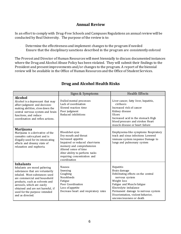#### **Annual Review**

In an effortto comply with Drug-Free Schools and Campuses Regulations an annual review will be conducted by Beal University. The purpose of the review is to:

- Determine the effectiveness and implement changes to the program if needed  $\bar{\Gamma}$
- Ensure that the disciplinary sanctions described in the program are consistently enforced  $\bar{\bar{1}}$

The Provost and Director of Human Resourceswill meet biennially to discuss documented instances where the Drug and Alcohol Abuse Policy has been violated. They will submit their findings to the President and presentimprovements and/or changes to the program. A report of the biennial review will be available in the Office of Human Resources and the Office of Student Services.

|                                                                                                                                                                                                                                                                                                               | Signs & Symptoms                                                                                                                                                                                                                     | <b>Health Effects</b>                                                                                                                                                                                                                                           |
|---------------------------------------------------------------------------------------------------------------------------------------------------------------------------------------------------------------------------------------------------------------------------------------------------------------|--------------------------------------------------------------------------------------------------------------------------------------------------------------------------------------------------------------------------------------|-----------------------------------------------------------------------------------------------------------------------------------------------------------------------------------------------------------------------------------------------------------------|
| <b>Alcohol</b><br>Alcohol is a depressant that may<br>affect judgment and decision-<br>making abilities, slow down the<br>central nervous system and brain<br>functions, and reduce<br>coordination and reflex actions.                                                                                       | Dulled mental processes<br>Lack of coordination<br>Slowed reaction time<br>Poor judgment<br>Reduced inhibitions                                                                                                                      | Liver cancer, fatty liver, hepatitis,<br>cirrhosis<br>Increased risk of cancer<br>Kidney disease<br><b>Ulcers</b><br>Increased acid in the stomach High<br>blood pressure and strokes Heart<br>muscle disease or heart failure                                  |
| <b>Marijuana</b><br>Marijuana is a derivative of the<br>cannabis sativa plant and is<br>illegally used for its intoxicating<br>effects and dreamy state of<br>relaxation and euphoria.                                                                                                                        | Bloodshot eyes<br>Dry mouth and throat<br>Increased appetite<br>Impaired or reduced short-term<br>memory and comprehension<br>Altered sense of time<br>Alter ability to perform tasks<br>requiring concentration and<br>coordination | Emphysema-like symptoms Respiratory<br>track and sinus infections Lowered<br>immune system response Damage to<br>lungs and pulmonary system                                                                                                                     |
| <b>Inhalants</b><br>Inhalants are mood paltering<br>substances that are voluntarily<br>inhaled. Most substances used<br>are commercial and household<br>products, such as solvents and<br>aerosols, which are easily<br>obtained and are not harmful, if<br>used for the purpose intended<br>and as directed. | Nausea<br>Sneezing<br>Coughing<br>Nosebleeds<br>Fatigue<br>Poor Coordination<br>Loss of appetite<br>Decrease heart and respiratory rates                                                                                             | Hepatitis<br>Brain damage<br>Debilitating effects on the central<br>nervous system<br>Weight loss<br>Fatigue and Muscle fatigue<br>Electrolyte imbalance<br>Permanent damage to nervous system<br>Disorientation, violent behavior,<br>unconsciousness or death |

#### **Drug and Alcohol Health Risks**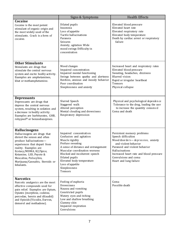|                                                                                                                                                                                                                                                                                                           | Signs & Symptoms                                                                                                                                                                                                                                                                                  | <b>Health Effects</b>                                                                                                                                                                                                                                           |
|-----------------------------------------------------------------------------------------------------------------------------------------------------------------------------------------------------------------------------------------------------------------------------------------------------------|---------------------------------------------------------------------------------------------------------------------------------------------------------------------------------------------------------------------------------------------------------------------------------------------------|-----------------------------------------------------------------------------------------------------------------------------------------------------------------------------------------------------------------------------------------------------------------|
| Cocaine<br>Cocaine is the most potent<br>stimulant of organic origin and<br>the most widely used of the<br>stimulants. Crack is a form of<br>cocaine.                                                                                                                                                     | Dilated pupils<br>Insomnia<br>Loss of appetite<br>Tactile hallucinations<br>Paranoia<br>Seizures<br>Anxiety, agitation Wide<br>mood swings Difficulty in<br>concentration                                                                                                                         | Elevated blood pressure<br>Elevated heart rate<br>Elevated respiratory rate<br>Elevated body temperature<br>Death by cardiac arrest or respiratory<br>failure                                                                                                   |
| <b>Other Stimulants</b><br>Stimulants are drugs that<br>stimulate the central nervous<br>system and excite bodily activity.<br>Examples are amphetamines,<br>khat or methamphetamine.                                                                                                                     | Mood changes<br>Impaired concentration<br>Impaired mental functioning<br>Swings between apathy and alertness<br>Restless, anxious and moody behavior<br>Poor coordination<br>Sleeplessness and anxiety                                                                                            | Increased heart and respiratory rates<br>Elevated blood pressure<br>Sweating, headaches, dizziness<br>Blurred vision<br>Rapid or irregular heartbeat<br>Tremors<br>Physical collapse                                                                            |
| <b>Depressants</b><br>Depressants are drugs that<br>depress the central nervous<br>system, resulting in sedation and<br>a decrease in bodily activity.<br>Examples are barbiturates, GHB,<br>rohypnol® or benzodiazepines.                                                                                | Slurred Speech<br>Staggered walk<br>Altered perception<br>Mental clouding and drowsiness<br>Respiratory depression                                                                                                                                                                                | Physical and psychological dependence<br>Tolerance to the drug, leading the user<br>to increase the quantity consumed<br>Coma and death                                                                                                                         |
| <b>Hallucinogens</b><br>Hallucinogens are drugs that<br>distort the senses and often<br>produce hallucinations-<br>experiences that depart from<br>reality. Examples are<br>Ecstasy/MDMA, K2/Spice,<br>Ketamine, LSD, Peyote &<br>Mescaline, Psilocybin,<br>Marijuana/Cannabis, Steroids or<br>Inhalants. | Impaired concentration<br>Confusion and agitation<br>Muscle rigidity<br>Profuse sweating<br>A sense of distance and estrangement<br>Muscular coordination worsens<br>Blocked and incoherent speech<br>Dilated pupils<br>Elevated body temperature<br>Loss of appetite<br>Sleeplessness<br>Tremors | Persistent memory problems<br>Speech difficulties<br>Mood disorders-depression, anxiety<br>and violent behavior<br>Paranoid and violent behavior<br>Hallucinations<br>Increased heart rate and blood pressure<br>Convulsions and coma<br>Heart and lung failure |
| <b>Narcotics</b><br>Narcotic analgesics are the most<br>effective compounds used for<br>pain relief. Examples are Opium,<br>Opiates (morphine, codeine,<br>percodan, heroin and dilaudid)<br>and Opioids (Vicodin, Darvon,<br>demerol and methadone).                                                     | Feeling of euphoria<br>Drowsiness<br>Nausea and vomiting<br>Constricted pupils<br>Watery eyes and itching<br>Low and shallow breathing<br>Clammy skin<br>Impaired respiration<br>Convulsions                                                                                                      | Coma<br>Possible death                                                                                                                                                                                                                                          |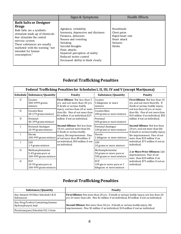|                                                                                                                                                                                                                                                                          | Signs & Symptoms                                                                                                                                                                                                                                               | <b>Health Effects</b>                                                                             |
|--------------------------------------------------------------------------------------------------------------------------------------------------------------------------------------------------------------------------------------------------------------------------|----------------------------------------------------------------------------------------------------------------------------------------------------------------------------------------------------------------------------------------------------------------|---------------------------------------------------------------------------------------------------|
| <b>Bath Salts or Designer</b><br><b>Drugs</b><br>Bath Salts are a synthetic<br>stimulant made up of chemicals<br>that stimulate the central<br>nervous system.<br>These substances are usually<br>marketed with the warning "not"<br>intended for human<br>consumption." | Agitation, irritability<br>Insomnia, depression and dizziness<br>Paranoia, delusions<br>Nausea and vomiting<br>Sweating<br>Suicidal thoughts<br>Panic attacks<br>Impaired perception of reality<br>Reduced motor control<br>Decreased ability to think clearly | <b>Nosebleeds</b><br>Chest pains<br>Rapid heart rate<br>Heart attack<br><b>Seizures</b><br>Stroke |

## **Federal Trafficking Penalties**

| Federal Trafficking Penalties for Schedules I, II, III, IV and V (except Marijuana) |                                                                |                                                                                                                                                          |                                                                          |                                                                                                          |
|-------------------------------------------------------------------------------------|----------------------------------------------------------------|----------------------------------------------------------------------------------------------------------------------------------------------------------|--------------------------------------------------------------------------|----------------------------------------------------------------------------------------------------------|
|                                                                                     | Schedule Substance/Quantity                                    | <b>Penalty</b>                                                                                                                                           | Substance/Quantity                                                       | <b>Penalty</b>                                                                                           |
| $\mathbf{I}$                                                                        | Cocaine<br>500-4999 grams<br>mixture                           | <b>First Offense: Not less than 5</b><br>yrs, and not more than 40 yrs.<br>If death or serious bodily                                                    | Cocaine<br>5 kilograms or more<br>mixture                                | First Offense: Not less than 10<br>yrs. and not more than life. If<br>death or serious bodily injury,    |
| $\mathbf{H}$                                                                        | Cocaine Base<br>28-279 grams mixture                           | injury, not less than 20 or more<br>than life. Fine of not more than<br>\$5 million if an individual, \$25<br>million if not an individual.              | Cocaine Base<br>280 grams or more mixture                                | not less than 20 yrs. or more<br>than life. Fine of not more than<br>\$10 million if an individual, \$50 |
| IV                                                                                  | Fentanyl<br>40-399 grams mixture                               |                                                                                                                                                          | Fentanyl<br>400 grams or more mixture                                    | million if not an individual.                                                                            |
| I                                                                                   | Fentanyl Analogue<br>10-99 grams mixture                       | <b>Second Offense: Not less than</b><br>10 yrs. and not more than life.                                                                                  | Fentanyl Analogue<br>100 grams or more mixture                           | <b>Second Offense: Not less than</b><br>20 yrs. and not more than life.                                  |
| I                                                                                   | Heroin<br>100-999 grams mixture                                | If death or serious bodily<br>injury, life imprisonment. Fine<br>of not more than \$8 million if<br>an individual, \$50 million if not<br>an individual. | Heroin<br>1 kilogram or more mixture                                     | If death or serious bodily injury,<br>life imprisonment. Fine of not<br>more than \$20 million if an     |
|                                                                                     | <b>LSD</b><br>1-9 grams mixture                                |                                                                                                                                                          | <b>LSD</b><br>10 grams or more mixture                                   | individual, \$75 million if not an<br>individual.                                                        |
| $\mathbf{H}$                                                                        | Methamphetamine<br>5-49 grams pure or<br>100-999 grams mixture |                                                                                                                                                          | Methamphetamine<br>50 grams or more pure or<br>500 grams or more mixture | 2 or More Prior Offenses: Life<br>imprisonment. Fine of not<br>more than \$20 million if an              |
| $\mathbf{H}$                                                                        | PCP<br>10-99 grams pure or<br>100-999 grams mixture            |                                                                                                                                                          | <b>PCP</b><br>100 gm or more pure or 1<br>kilogram or more mixture       | individual, \$75 million if not an<br>individual.                                                        |

## **Federal Trafficking Penalties**

| Substance/Quantity                                       | Penalty                                                                                                                                                                                         |
|----------------------------------------------------------|-------------------------------------------------------------------------------------------------------------------------------------------------------------------------------------------------|
| Any Amount Of Other Schedule I & II<br>Substances        | <b>First Offense:</b> Not more than 20 yrs. If death or serious bodily injury, not less than 20<br>yrs. Or more than Life. Fine \$1 million if an individual, \$5 million if not an individual. |
| Any Drug Product Containing Gamma<br>Hydroxybutyric Acid | <b>Second Offense:</b> Not more than 30 yrs. If death or serious bodily injury, life                                                                                                            |
| Flunitrazepam (Schedule IV) 1 Gram                       | imprisonment. Fine \$2 million if an individual, \$10 million if not an individual.                                                                                                             |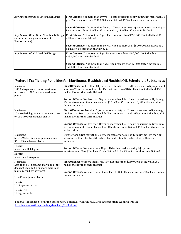| Any Amount Of Other Schedule III Drugs                                                         | <b>First Offense:</b> Not more than 10 yrs. If death or serious bodily injury, not more than 15<br>yrs. Fine not more than \$500,000 if an individual, \$2.5 million if not an individual.<br><b>Second Offense:</b> Not more than 20 yrs. If death or serious injury, not more than 30 yrs.<br>Fine not more than \$1 million if an individual, \$5 million if not an individual. |
|------------------------------------------------------------------------------------------------|------------------------------------------------------------------------------------------------------------------------------------------------------------------------------------------------------------------------------------------------------------------------------------------------------------------------------------------------------------------------------------|
| Any Amount Of All Other Schedule IV Drugs<br>(other than one gram or more of<br>Flunitrazepam) | <b>First Offense:</b> Not more than 5 yrs. Fine not more than \$250,000 if an individual, \$1<br>million if not an individual.                                                                                                                                                                                                                                                     |
|                                                                                                | <b>Second Offense:</b> Not more than 10 yrs. Fine not more than \$500,000 if an individual,<br>\$2 million if other than an individual.                                                                                                                                                                                                                                            |
| Any Amount Of All Schedule V Drugs                                                             | First Offense: Not more than 1 yr. Fine not more than \$100,000 if an individual,<br>\$250,000 if not an individual.                                                                                                                                                                                                                                                               |
|                                                                                                | <b>Second Offense:</b> Not more than 4 yrs. Fine not more than \$200,000 if an individual,<br>\$500,000 if not an individual.                                                                                                                                                                                                                                                      |

| Federal Trafficking Penalties for Marijuana, Hashish and Hashish Oil, Schedule 1 Substances                                 |                                                                                                                                                                                                                                       |  |
|-----------------------------------------------------------------------------------------------------------------------------|---------------------------------------------------------------------------------------------------------------------------------------------------------------------------------------------------------------------------------------|--|
| Marijuana<br>1,000 kilograms or more marijuana<br>mixture or 1,000 or more marijuana<br>plants                              | First Offense: Not less than 10 yrs. or more than life. If death or serious bodily injury, not<br>less than 20 yrs. or more than life. Fine not more than \$10 million if an individual, \$50<br>million if other than an individual. |  |
|                                                                                                                             | <b>Second Offense:</b> Not less than 20 yrs. or more than life. If death or serious bodily injury,<br>life imprisonment. Fine not more than \$20 million if an individual, \$75 million if other<br>than an individual.               |  |
| Marijuana<br>100 to 999 kilograms marijuana mixture<br>or 100 to 999 marijuana plants                                       | First Offense: Not less than 5 yrs. or more than 40 yrs. If death or serious bodily injury,<br>not less than 20 yrs. or more than life. Fine not more than \$5 million if an individual, \$25<br>million if other than an individual. |  |
|                                                                                                                             | Second Offense: Not less than 10 yrs. or more than life. If death or serious bodily injury,<br>life imprisonment. Fine not more than \$8 million if an individual, \$50 million if other than<br>an individual.                       |  |
| Marijuana<br>50 to 99 kilograms marijuana mixture,<br>50 to 99 marijuana plants                                             | First Offense: Not more than 20 yrs. If death or serious bodily injury, not less than 20<br>yrs. or more than life. Fine \$1 million if an individual, \$5 million if other than an<br>individual.                                    |  |
| Hashish<br>More than 10 kilograms                                                                                           | Second Offense: Not more than 30 yrs. If death or serious bodily injury, life<br>imprisonment. Fine \$2 million if an individual, \$10 million if other than an individual.                                                           |  |
| Hashish<br>More than 1 kilogram                                                                                             |                                                                                                                                                                                                                                       |  |
| Marijuana<br>Less than 50 kilograms marijuana (but<br>does not include 50 or more marijuana<br>plants regardless of weight) | First Offense: Not more than 5 yrs. Fine not more than \$250,000 if an individual, \$1<br>million if other than an individual.<br>Second Offense: Not more than 10 yrs. Fine \$500,000 if an individual, \$2 million if other         |  |
| 1 to 49 marijuana plants                                                                                                    | than an individual.                                                                                                                                                                                                                   |  |
| Hashish<br>10 kilograms or less                                                                                             |                                                                                                                                                                                                                                       |  |
| Hashish Oil<br>1 kilogram or less                                                                                           |                                                                                                                                                                                                                                       |  |

Federal Trafficking Penalties tables were obtained from the U.S. Drug Enforcement Administration <http://www.justice.gov/dea/druginfo/ftp3.shtml>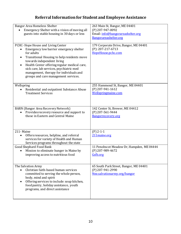# **Referral Informationfor Student and Employee Assistance**

| <b>Bangor Area Homeless Shelter</b><br>Emergency Shelter with a vision of moving all<br>guests into stable housing in 30 days or less                                                                                                                                                                                                                                            | 263 Main St, Bangor, ME 04401<br>(P) 207-947-0092<br>Email: info@bangorareashelter.org<br>Bangorareashelter.org |
|----------------------------------------------------------------------------------------------------------------------------------------------------------------------------------------------------------------------------------------------------------------------------------------------------------------------------------------------------------------------------------|-----------------------------------------------------------------------------------------------------------------|
| PCHC-Hope House and Living Center<br>Emergency low barrier emergency shelter<br>for adults<br>Transitional Housing to help residents move<br>$\bullet$<br>towards independent living<br>Health Center offering regular medical care,<br>$\bullet$<br>sick care, lab services, psychiatric med<br>management, therapy for individuals and<br>groups and care management services. | 179 Corporate Drive, Bangor, ME 04401<br>$(P)$ : 207-217-6713<br>HopeHouse.pchc.com                             |
| Wellspring<br>Residential and outpatient Substance Abuse<br>$\bullet$<br><b>Treatment Services</b>                                                                                                                                                                                                                                                                               | 255 Hammond St, Bangor, ME 04401<br>(P) 207-941-1612<br>Wellspringmaine.com                                     |
| <b>BARN</b> (Bangor Area Recovery Network)<br>Provides recovery resource and support to<br>those in Eastern and Central Maine                                                                                                                                                                                                                                                    | 142 Center St, Brewer, ME 04412<br>(P) 207-561-9444<br>Bangorrecovery.org                                       |
| 211-Maine<br>Offers resources, helpline, and referral<br>$\bullet$<br>services for variety of Health and Human<br>Services programs throughout the state                                                                                                                                                                                                                         | $(P)$ 2-1-1<br>211maine.org                                                                                     |
| Good Shephard Food Bank<br>Mission to eliminate hunger in Maine by<br>improving access to nutritious food                                                                                                                                                                                                                                                                        | 11 Penobscot Meadow Dr, Hampden, ME 04444<br>(P) 207-989-4672<br>Gsfb.org                                       |
| The Salvation Army<br>Christian faith-based human services<br>committed to serving the whole person,<br>body, mind and spirit<br>Offering services to include: soup kitchen,<br>food pantry, holiday assistance, youth<br>programs, and direct assistance                                                                                                                        | 65 South Park Street, Bangor, ME 04401<br>(P) 207-941-2990<br>Nne.salvationarmy.org/bangor                      |